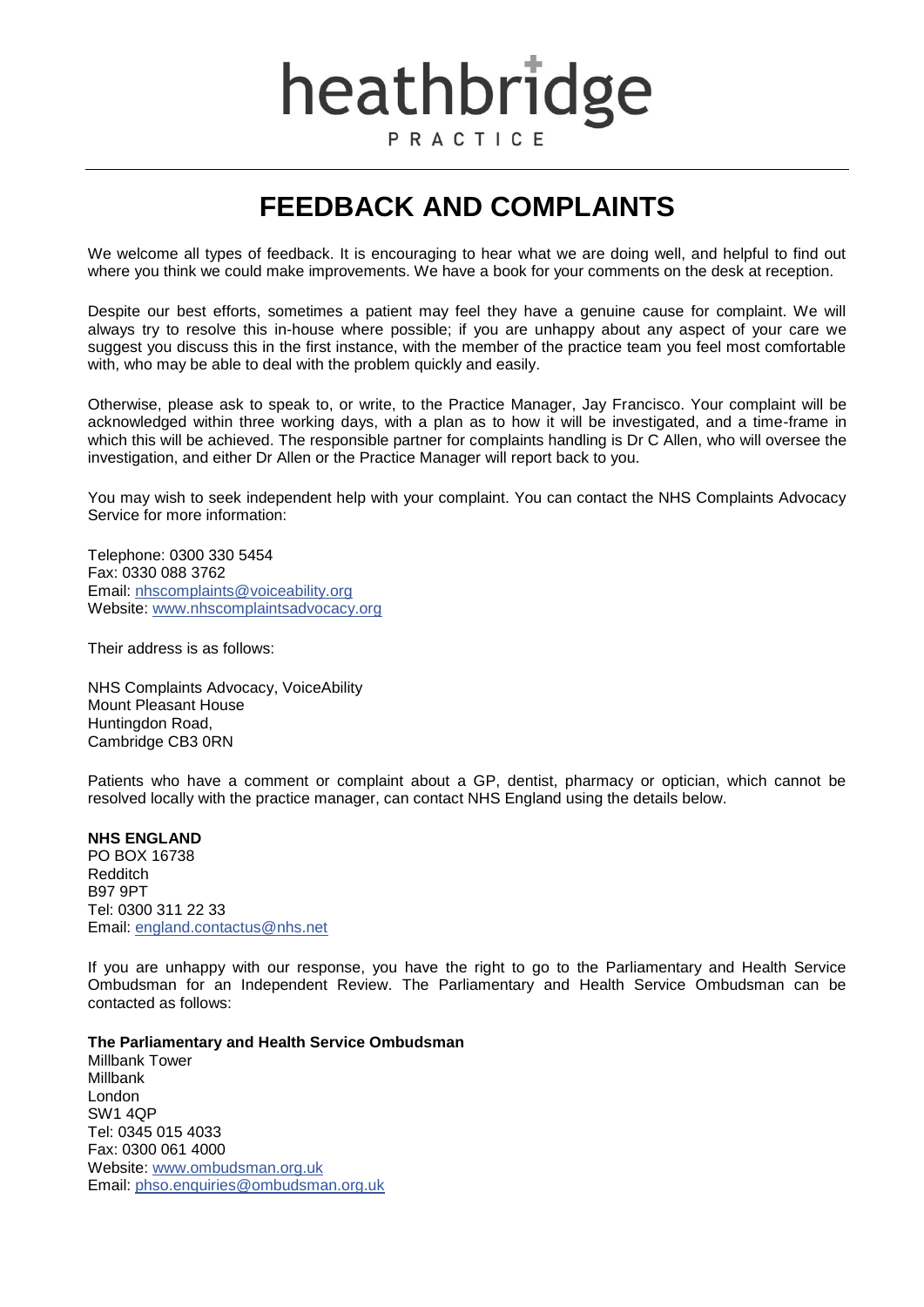# heathbridge PRACTICE

## **FEEDBACK AND COMPLAINTS**

We welcome all types of feedback. It is encouraging to hear what we are doing well, and helpful to find out where you think we could make improvements. We have a book for your comments on the desk at reception.

Despite our best efforts, sometimes a patient may feel they have a genuine cause for complaint. We will always try to resolve this in-house where possible; if you are unhappy about any aspect of your care we suggest you discuss this in the first instance, with the member of the practice team you feel most comfortable with, who may be able to deal with the problem quickly and easily.

Otherwise, please ask to speak to, or write, to the Practice Manager, Jay Francisco. Your complaint will be acknowledged within three working days, with a plan as to how it will be investigated, and a time-frame in which this will be achieved. The responsible partner for complaints handling is Dr C Allen, who will oversee the investigation, and either Dr Allen or the Practice Manager will report back to you.

You may wish to seek independent help with your complaint. You can contact the NHS Complaints Advocacy Service for more information:

Telephone: 0300 330 5454 Fax: 0330 088 3762 Email: [nhscomplaints@voiceability.org](mailto:nhscomplaints@voiceability.org) Website: [www.nhscomplaintsadvocacy.org](http://www.nhscomplaintsadvocacy.org/) 

Their address is as follows:

NHS Complaints Advocacy, VoiceAbility Mount Pleasant House Huntingdon Road, Cambridge CB3 0RN

Patients who have a comment or complaint about a GP, dentist, pharmacy or optician, which cannot be resolved locally with the practice manager, can contact NHS England using the details below.

#### **NHS ENGLAND**

PO BOX 16738 Redditch B97 9PT Tel: 0300 311 22 33 Email: [england.contactus@nhs.net](mailto:england.contactus@nhs.net)

If you are unhappy with our response, you have the right to go to the Parliamentary and Health Service Ombudsman for an Independent Review. The Parliamentary and Health Service Ombudsman can be contacted as follows:

#### **The Parliamentary and Health Service Ombudsman**

Millbank Tower Millbank London SW1 4QP Tel: 0345 015 4033 Fax: 0300 061 4000 Website: [www.ombudsman.org.uk](http://www.ombudsman.org.uk/) Email: [phso.enquiries@ombudsman.org.uk](mailto:phso.enquiries@ombudsman.org.uk)